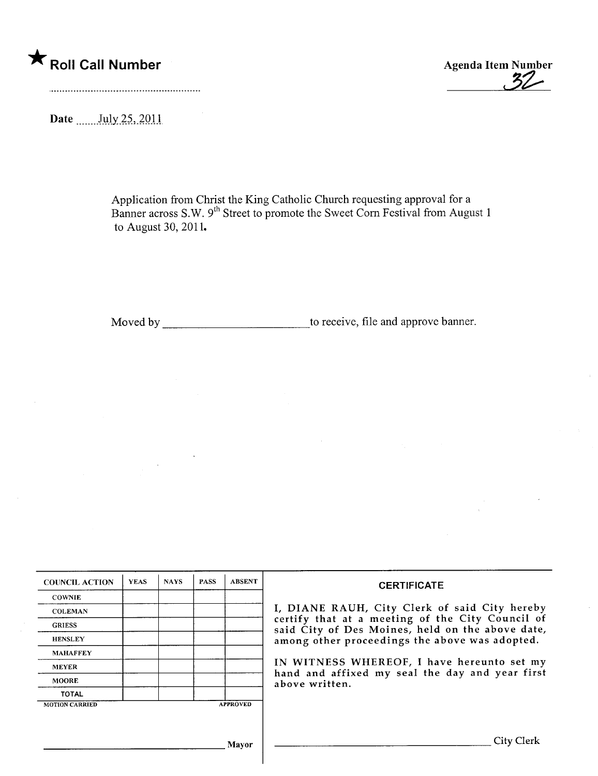

\* Roll Call Number Agenda Item Number Agenda Item Number Agenda Item Number

Date \_\_\_\_\_\_ July 25, 2011

Application from Christ the King Catholic Church requesting approval for a Banner across S.W. 9<sup>th</sup> Street to promote the Sweet Corn Festival from August 1 to August 30, 2011.

Moved by to receive, file and approve banner.

| <b>COUNCIL ACTION</b> | <b>YEAS</b> | <b>NAYS</b> | <b>PASS</b> | <b>ABSENT</b>   | <b>CERTIFICATE</b>                                                                                              |  |  |  |
|-----------------------|-------------|-------------|-------------|-----------------|-----------------------------------------------------------------------------------------------------------------|--|--|--|
| <b>COWNIE</b>         |             |             |             |                 |                                                                                                                 |  |  |  |
| <b>COLEMAN</b>        |             |             |             |                 | I, DIANE RAUH, City Clerk of said City hereby                                                                   |  |  |  |
| <b>GRIESS</b>         |             |             |             |                 | certify that at a meeting of the City Council of<br>said City of Des Moines, held on the above date,            |  |  |  |
| <b>HENSLEY</b>        |             |             |             |                 | among other proceedings the above was adopted.                                                                  |  |  |  |
| <b>MAHAFFEY</b>       |             |             |             |                 |                                                                                                                 |  |  |  |
| <b>MEYER</b>          |             |             |             |                 | IN WITNESS WHEREOF, I have hereunto set my<br>hand and affixed my seal the day and year first<br>above written. |  |  |  |
| <b>MOORE</b>          |             |             |             |                 |                                                                                                                 |  |  |  |
| <b>TOTAL</b>          |             |             |             |                 |                                                                                                                 |  |  |  |
| <b>MOTION CARRIED</b> |             |             |             | <b>APPROVED</b> |                                                                                                                 |  |  |  |
|                       |             |             |             |                 |                                                                                                                 |  |  |  |
|                       |             |             |             |                 |                                                                                                                 |  |  |  |
|                       |             |             |             | Mavor           | City Clerk                                                                                                      |  |  |  |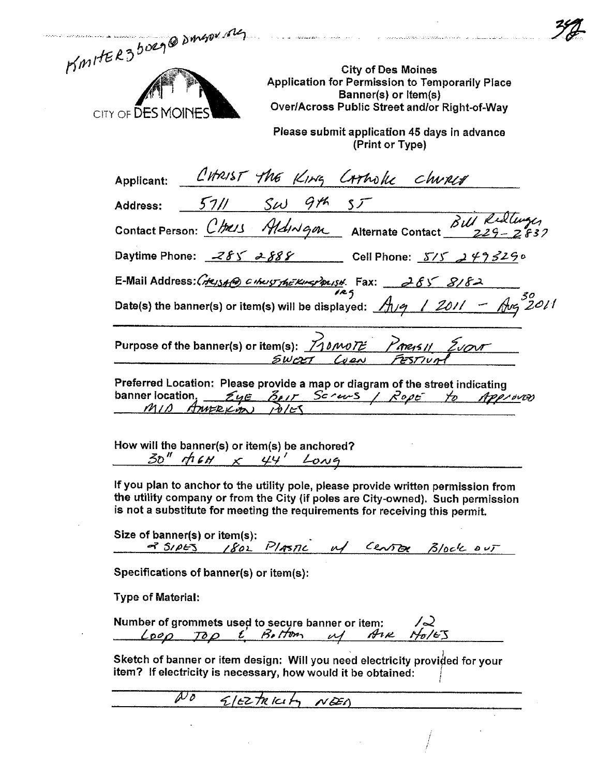| KMITER3 borg@DMspx mg      |  |
|----------------------------|--|
| CITY OF <b>DES MOINES'</b> |  |

 $\ddot{\phantom{0}}$ 

City of Des Moines<br>Application for Permission to Temporarily Place<br>Banner(s) or Item(s)<br>Over/Across Public Street and/or Right-of-Way

 $\label{eq:3} \begin{split} \mathcal{L}^{(1)}(x) = \mathcal{L}^{(1)}(x) = \mathcal{L}^{(1)}(x) = \mathcal{L}^{(1)}(x) = \mathcal{L}^{(1)}(x) = \mathcal{L}^{(1)}(x) = \mathcal{L}^{(1)}(x) = \mathcal{L}^{(1)}(x) = \mathcal{L}^{(1)}(x) = \mathcal{L}^{(1)}(x) = \mathcal{L}^{(1)}(x) = \mathcal{L}^{(1)}(x) = \mathcal{L}^{(1)}(x) = \mathcal{L}^{(1)}(x) = \mathcal{L}^{(1)}(x$ 

 $\ddot{\phantom{a}}$ 

 $\ddot{\phantom{a}}$ 

.<br>Manazarta especies este control

Please submit application 45 days in advance<br>(Print or Type)

| Applicant: CHRIST The KING CATHOLE CHURLY<br>Address: 5711 SW 9th 55<br>Contact Person: CHRIS Aldinique Alternate Contact 811 Ridlinger                                                                                                             |  |  |  |  |  |
|-----------------------------------------------------------------------------------------------------------------------------------------------------------------------------------------------------------------------------------------------------|--|--|--|--|--|
| Daytime Phone: $285 288$ Cell Phone: $5/5 2993290$                                                                                                                                                                                                  |  |  |  |  |  |
|                                                                                                                                                                                                                                                     |  |  |  |  |  |
| E-Mail Address: Cress of Cheist the Eliter Parist. Fax: 285 8182<br>Date(s) the banner(s) or item(s) will be displayed: $\frac{A_{19}}{A_{19}}$ / 2011 - Ang 2011                                                                                   |  |  |  |  |  |
| Purpose of the banner(s) or item(s): $\frac{70000T^2}{6000}$ Parens 11 $\frac{2000T}{7257/101}$                                                                                                                                                     |  |  |  |  |  |
| Preferred Location: Please provide a map or diagram of the street indicating<br>banner location, EyE BOIT SCOUS / ROPE to Approved                                                                                                                  |  |  |  |  |  |
| How will the banner(s) or item(s) be anchored?<br>$30''$ $46H \times 44'$ Long                                                                                                                                                                      |  |  |  |  |  |
| If you plan to anchor to the utility pole, please provide written permission from<br>the utility company or from the City (if poles are City-owned). Such permission<br>is not a substitute for meeting the requirements for receiving this permit. |  |  |  |  |  |
| Size of $banner(s)$ or item(s):<br>1 Danmer(s) or nemiss:<br><u>2 SIDES</u> 1802 PlASTIC uf CENTER Block out                                                                                                                                        |  |  |  |  |  |
| Specifications of banner(s) or item(s):                                                                                                                                                                                                             |  |  |  |  |  |
| <b>Type of Material:</b>                                                                                                                                                                                                                            |  |  |  |  |  |
| Number of grommets used to secure banner or item: $\sqrt{2}$<br>$\sqrt{2\rho \rho}$ $\sqrt{2\rho}$ $\ell$ $\beta$ $\ell$ $\gamma$ $\gamma$ $\beta$ $\ell$ $\gamma$ $\beta$ $\ell$ $\gamma$                                                          |  |  |  |  |  |
| Sketch of banner or item design: Will you need electricity provided for your<br>item? If electricity is necessary, how would it be obtained:                                                                                                        |  |  |  |  |  |
| $\overline{\mathscr{N}\mathscr{O}}$<br>$5/12\pi$ kicity NEA                                                                                                                                                                                         |  |  |  |  |  |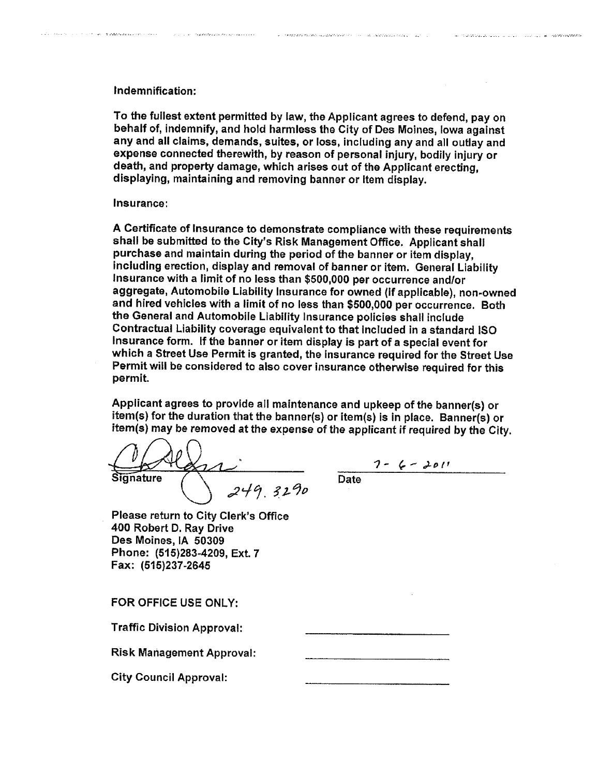## Indemnification:

.<br>1970 - Jan James, fransk fotografski skuestik (de se se se se od se se od se se od se se od se se od se se od

.<br>La provincia de la contrata de la provincia de la provincia de la

To the fullest extent permitted by law, the Applicant agrees to defend, pay on behalf of, indemnify, and hold harmless the City of Des Moines, Iowa against any and all claims, demands, suites, or loss, including any and all outlay and expense connected therewith, by reason of personal injury, bodily injury or death, and property damage, which arises out of the Applicant erecting. displaying, maintaining and removing banner or Item display.

.<br>The contract of the PD ASS and ASS and the Section of the contract of the contract of the contract of the contract of the contract of the contract of the contract of the contract of the contract of the contract of the co

an magaalaa ku sino oo loo la

## Insurance:

A Certificate of Insurance to demonstrate compliance with these requirements shall be submitted to the City's Risk Management Office. Applicant shall purchase and maintain during the period of the banner or item display, including erection, display and removal of banner or item. General Liability Insurance with a limit of no less than \$5001000 per occurrence and/or aggregate, Automobile Liabilty Insurance for owned (if applicable), non~owned and hired vehicles with a limit of no less than \$500,000 per occurrence. Both the General and Automobile Liabilty Insurance policies shall include Contractual Liability coverage equivalent to that included in a standard iso Insurance form. If the banner or item display is part of a special event for which a Street Use Permit is granted, the Insurance required for the Street Use Permit will be considered to also cover insurance otherwise required for this permit.

Applicant agrees to provide all maintenance and upkeep of the banner(s) or item(s) for the duration that the banner(s) or item(s) is in place. Banner(s) or item(s) may be removed at the expense of the applicant if required by the City.

ignature  $249.3290$ 

7 - G - 2011 **Date** 

Please return to City Clerk's Office 400 Robert D. Ray Drive Des Moines, IA 50309 Phone: (515)283-4209, Ext. 7

FOR OFFICE USE ONLY:

Fax: (515)237~2645

**Traffic Division Approval:** 

Risk Management Approval:

City Council Approval: